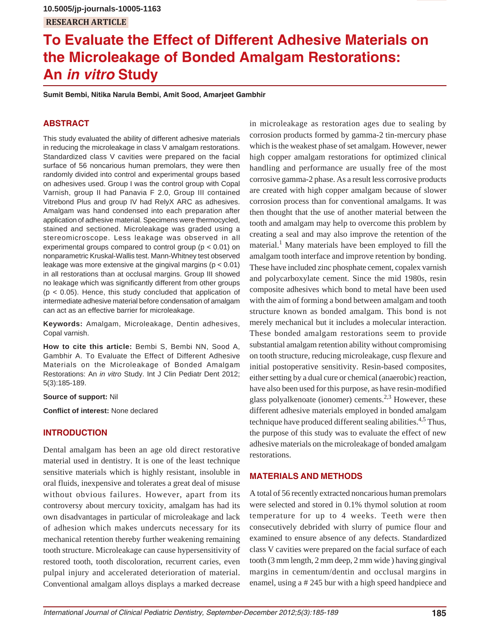# **To Evaluate the Effect of Different Adhesive Materials on the Microleakage of Bonded Amalgam Restorations: An** *in vitro* **Study**

**Sumit Bembi, Nitika Narula Bembi, Amit Sood, Amarjeet Gambhir**

### **ABSTRACT**

This study evaluated the ability of different adhesive materials in reducing the microleakage in class V amalgam restorations. Standardized class V cavities were prepared on the facial surface of 56 noncarious human premolars, they were then randomly divided into control and experimental groups based on adhesives used. Group I was the control group with Copal Varnish, group II had Panavia F 2.0, Group III contained Vitrebond Plus and group IV had RelyX ARC as adhesives. Amalgam was hand condensed into each preparation after application of adhesive material. Specimens were thermocycled, stained and sectioned. Microleakage was graded using a stereomicroscope. Less leakage was observed in all experimental groups compared to control group (p < 0.01) on nonparametric Kruskal-Wallis test. Mann-Whitney test observed leakage was more extensive at the gingival margins ( $p < 0.01$ ) in all restorations than at occlusal margins. Group III showed no leakage which was significantly different from other groups  $(p < 0.05)$ . Hence, this study concluded that application of intermediate adhesive material before condensation of amalgam can act as an effective barrier for microleakage.

**Keywords:** Amalgam, Microleakage, Dentin adhesives, Copal varnish.

**How to cite this article:** Bembi S, Bembi NN, Sood A, Gambhir A. To Evaluate the Effect of Different Adhesive Materials on the Microleakage of Bonded Amalgam Restorations: An *in vitro* Study. Int J Clin Pediatr Dent 2012; 5(3):185-189.

**Source of support:** Nil

**Conflict of interest:** None declared

#### **INTRODUCTION**

Dental amalgam has been an age old direct restorative material used in dentistry. It is one of the least technique sensitive materials which is highly resistant, insoluble in oral fluids, inexpensive and tolerates a great deal of misuse without obvious failures. However, apart from its controversy about mercury toxicity, amalgam has had its own disadvantages in particular of microleakage and lack of adhesion which makes undercuts necessary for its mechanical retention thereby further weakening remaining tooth structure. Microleakage can cause hypersensitivity of restored tooth, tooth discoloration, recurrent caries, even pulpal injury and accelerated deterioration of material. Conventional amalgam alloys displays a marked decrease

in microleakage as restoration ages due to sealing by corrosion products formed by gamma-2 tin-mercury phase which is the weakest phase of set amalgam. However, newer high copper amalgam restorations for optimized clinical handling and performance are usually free of the most corrosive gamma-2 phase. As a result less corrosive products are created with high copper amalgam because of slower corrosion process than for conventional amalgams. It was then thought that the use of another material between the tooth and amalgam may help to overcome this problem by creating a seal and may also improve the retention of the material.<sup>1</sup> Many materials have been employed to fill the amalgam tooth interface and improve retention by bonding. These have included zinc phosphate cement, copalex varnish and polycarboxylate cement. Since the mid 1980s, resin composite adhesives which bond to metal have been used with the aim of forming a bond between amalgam and tooth structure known as bonded amalgam. This bond is not merely mechanical but it includes a molecular interaction. These bonded amalgam restorations seem to provide substantial amalgam retention ability without compromising on tooth structure, reducing microleakage, cusp flexure and initial postoperative sensitivity. Resin-based composites, either setting by a dual cure or chemical (anaerobic) reaction, have also been used for this purpose, as have resin-modified glass polyalkenoate (ionomer) cements.<sup>2,3</sup> However, these different adhesive materials employed in bonded amalgam technique have produced different sealing abilities.<sup>4,5</sup> Thus, the purpose of this study was to evaluate the effect of new adhesive materials on the microleakage of bonded amalgam restorations.

#### **MATERIALS AND METHODS**

A total of 56 recently extracted noncarious human premolars were selected and stored in 0.1% thymol solution at room temperature for up to 4 weeks. Teeth were then consecutively debrided with slurry of pumice flour and examined to ensure absence of any defects. Standardized class V cavities were prepared on the facial surface of each tooth (3 mm length, 2 mm deep, 2 mm wide ) having gingival margins in cementum/dentin and occlusal margins in enamel, using a # 245 bur with a high speed handpiece and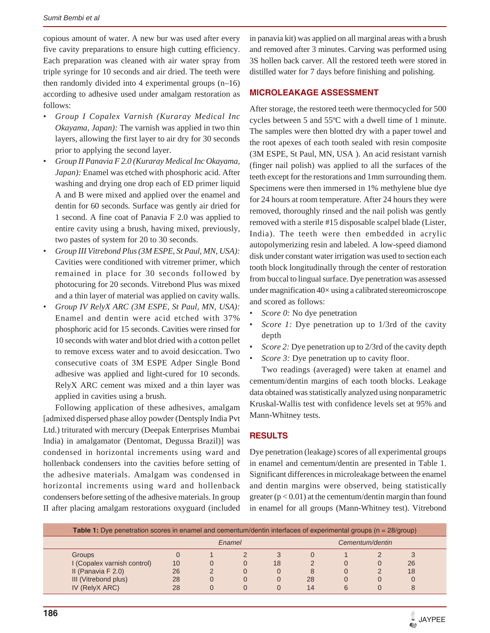copious amount of water. A new bur was used after every five cavity preparations to ensure high cutting efficiency. Each preparation was cleaned with air water spray from triple syringe for 10 seconds and air dried. The teeth were then randomly divided into 4 experimental groups (n–16) according to adhesive used under amalgam restoration as follows:

- *Group I Copalex Varnish (Kuraray Medical Inc Okayama, Japan):* The varnish was applied in two thin layers, allowing the first layer to air dry for 30 seconds prior to applying the second layer.
- *Group II Panavia F 2.0 (Kuraray Medical Inc Okayama, Japan):* Enamel was etched with phosphoric acid. After washing and drying one drop each of ED primer liquid A and B were mixed and applied over the enamel and dentin for 60 seconds. Surface was gently air dried for 1 second. A fine coat of Panavia F 2.0 was applied to entire cavity using a brush, having mixed, previously, two pastes of system for 20 to 30 seconds.
- *Group III Vitrebond Plus (3M ESPE, St Paul, MN, USA):* Cavities were conditioned with vitremer primer, which remained in place for 30 seconds followed by photocuring for 20 seconds. Vitrebond Plus was mixed and a thin layer of material was applied on cavity walls.
- *Group IV RelyX ARC (3M ESPE, St Paul, MN, USA):* Enamel and dentin were acid etched with 37% phosphoric acid for 15 seconds. Cavities were rinsed for 10 seconds with water and blot dried with a cotton pellet to remove excess water and to avoid desiccation. Two consecutive coats of 3M ESPE Adper Single Bond adhesive was applied and light-cured for 10 seconds. RelyX ARC cement was mixed and a thin layer was applied in cavities using a brush.

Following application of these adhesives, amalgam [admixed dispersed phase alloy powder (Dentsply India Pvt Ltd.) triturated with mercury (Deepak Enterprises Mumbai India) in amalgamator (Dentomat, Degussa Brazil)] was condensed in horizontal increments using ward and hollenback condensers into the cavities before setting of the adhesive materials. Amalgam was condensed in horizontal increments using ward and hollenback condensers before setting of the adhesive materials. In group II after placing amalgam restorations oxyguard (included

in panavia kit) was applied on all marginal areas with a brush and removed after 3 minutes. Carving was performed using 3S hollen back carver. All the restored teeth were stored in distilled water for 7 days before finishing and polishing.

#### **MICROLEAKAGE ASSESSMENT**

After storage, the restored teeth were thermocycled for 500 cycles between 5 and 55ºC with a dwell time of 1 minute. The samples were then blotted dry with a paper towel and the root apexes of each tooth sealed with resin composite (3M ESPE, St Paul, MN, USA ). An acid resistant varnish (finger nail polish) was applied to all the surfaces of the teeth except for the restorations and 1mm surrounding them. Specimens were then immersed in 1% methylene blue dye for 24 hours at room temperature. After 24 hours they were removed, thoroughly rinsed and the nail polish was gently removed with a sterile #15 disposable scalpel blade (Lister, India). The teeth were then embedded in acrylic autopolymerizing resin and labeled. A low-speed diamond disk under constant water irrigation was used to section each tooth block longitudinally through the center of restoration from buccal to lingual surface. Dye penetration was assessed under magnification 40× using a calibrated stereomicroscope and scored as follows:

- *Score 0:* No dye penetration
- *Score 1:* Dye penetration up to 1/3rd of the cavity depth
- *Score 2:* Dye penetration up to 2/3rd of the cavity depth
- *Score 3:* Dye penetration up to cavity floor.

Two readings (averaged) were taken at enamel and cementum/dentin margins of each tooth blocks. Leakage data obtained was statistically analyzed using nonparametric Kruskal-Wallis test with confidence levels set at 95% and Mann-Whitney tests.

#### **RESULTS**

Dye penetration (leakage) scores of all experimental groups in enamel and cementum/dentin are presented in Table 1. Significant differences in microleakage between the enamel and dentin margins were observed, being statistically greater  $(p < 0.01)$  at the cementum/dentin margin than found in enamel for all groups (Mann-Whitney test). Vitrebond

| <b>Table 1:</b> Dye penetration scores in enamel and cementum/dentin interfaces of experimental groups ( $n = 28/$ group) |        |  |  |    |                 |   |  |    |  |
|---------------------------------------------------------------------------------------------------------------------------|--------|--|--|----|-----------------|---|--|----|--|
|                                                                                                                           | Enamel |  |  |    | Cementum/dentin |   |  |    |  |
| <b>Groups</b>                                                                                                             |        |  |  |    |                 |   |  |    |  |
| I (Copalex varnish control)                                                                                               | 10     |  |  | 18 |                 |   |  | 26 |  |
| II (Panavia F 2.0)                                                                                                        | 26     |  |  |    | 8               |   |  | 18 |  |
| III (Vitrebond plus)                                                                                                      | 28     |  |  |    | 28              |   |  |    |  |
| IV (RelyX ARC)                                                                                                            | 28     |  |  |    | 14              | 6 |  |    |  |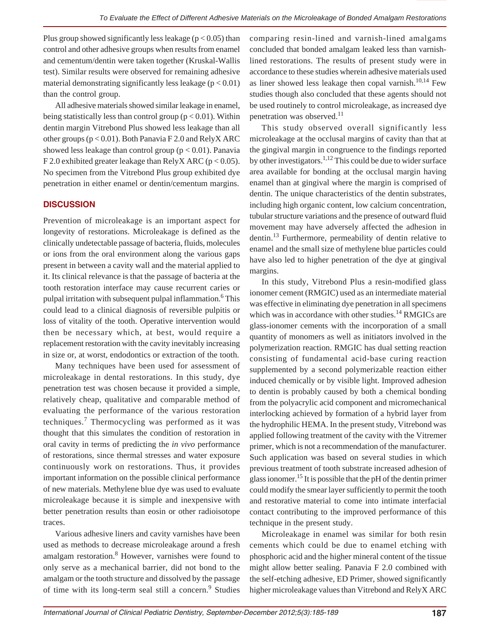Plus group showed significantly less leakage ( $p < 0.05$ ) than control and other adhesive groups when results from enamel and cementum/dentin were taken together (Kruskal-Wallis test). Similar results were observed for remaining adhesive material demonstrating significantly less leakage  $(p < 0.01)$ than the control group.

All adhesive materials showed similar leakage in enamel, being statistically less than control group ( $p < 0.01$ ). Within dentin margin Vitrebond Plus showed less leakage than all other groups (p < 0.01). Both Panavia F 2.0 and RelyX ARC showed less leakage than control group ( $p < 0.01$ ). Panavia F 2.0 exhibited greater leakage than RelyX ARC ( $p < 0.05$ ). No specimen from the Vitrebond Plus group exhibited dye penetration in either enamel or dentin/cementum margins.

#### **DISCUSSION**

Prevention of microleakage is an important aspect for longevity of restorations. Microleakage is defined as the clinically undetectable passage of bacteria, fluids, molecules or ions from the oral environment along the various gaps present in between a cavity wall and the material applied to it. Its clinical relevance is that the passage of bacteria at the tooth restoration interface may cause recurrent caries or pulpal irritation with subsequent pulpal inflammation.<sup>6</sup> This could lead to a clinical diagnosis of reversible pulpitis or loss of vitality of the tooth. Operative intervention would then be necessary which, at best, would require a replacement restoration with the cavity inevitably increasing in size or, at worst, endodontics or extraction of the tooth.

Many techniques have been used for assessment of microleakage in dental restorations. In this study, dye penetration test was chosen because it provided a simple, relatively cheap, qualitative and comparable method of evaluating the performance of the various restoration techniques.<sup>7</sup> Thermocycling was performed as it was thought that this simulates the condition of restoration in oral cavity in terms of predicting the *in vivo* performance of restorations, since thermal stresses and water exposure continuously work on restorations. Thus, it provides important information on the possible clinical performance of new materials. Methylene blue dye was used to evaluate microleakage because it is simple and inexpensive with better penetration results than eosin or other radioisotope traces.

Various adhesive liners and cavity varnishes have been used as methods to decrease microleakage around a fresh amalgam restoration.<sup>8</sup> However, varnishes were found to only serve as a mechanical barrier, did not bond to the amalgam or the tooth structure and dissolved by the passage of time with its long-term seal still a concern.<sup>9</sup> Studies comparing resin-lined and varnish-lined amalgams concluded that bonded amalgam leaked less than varnishlined restorations. The results of present study were in accordance to these studies wherein adhesive materials used as liner showed less leakage then copal varnish. $10,14$  Few studies though also concluded that these agents should not be used routinely to control microleakage, as increased dye penetration was observed.<sup>11</sup>

This study observed overall significantly less microleakage at the occlusal margins of cavity than that at the gingival margin in congruence to the findings reported by other investigators.<sup>1,12</sup> This could be due to wider surface area available for bonding at the occlusal margin having enamel than at gingival where the margin is comprised of dentin. The unique characteristics of the dentin substrates, including high organic content, low calcium concentration, tubular structure variations and the presence of outward fluid movement may have adversely affected the adhesion in dentin.<sup>13</sup> Furthermore, permeability of dentin relative to enamel and the small size of methylene blue particles could have also led to higher penetration of the dye at gingival margins.

In this study, Vitrebond Plus a resin-modified glass ionomer cement (RMGIC) used as an intermediate material was effective in eliminating dye penetration in all specimens which was in accordance with other studies.<sup>14</sup> RMGICs are glass-ionomer cements with the incorporation of a small quantity of monomers as well as initiators involved in the polymerization reaction. RMGIC has dual setting reaction consisting of fundamental acid-base curing reaction supplemented by a second polymerizable reaction either induced chemically or by visible light. Improved adhesion to dentin is probably caused by both a chemical bonding from the polyacrylic acid component and micromechanical interlocking achieved by formation of a hybrid layer from the hydrophilic HEMA. In the present study, Vitrebond was applied following treatment of the cavity with the Vitremer primer, which is not a recommendation of the manufacturer. Such application was based on several studies in which previous treatment of tooth substrate increased adhesion of glass ionomer.15 It is possible that the pH of the dentin primer could modify the smear layer sufficiently to permit the tooth and restorative material to come into intimate interfacial contact contributing to the improved performance of this technique in the present study.

Microleakage in enamel was similar for both resin cements which could be due to enamel etching with phosphoric acid and the higher mineral content of the tissue might allow better sealing. Panavia F 2.0 combined with the self-etching adhesive, ED Primer, showed significantly higher microleakage values than Vitrebond and RelyX ARC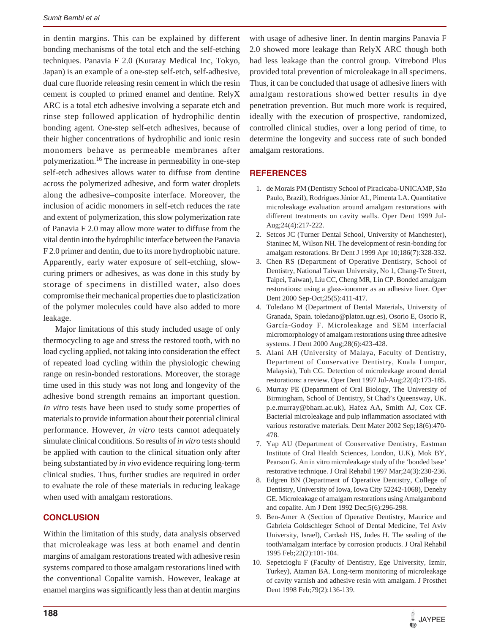in dentin margins. This can be explained by different bonding mechanisms of the total etch and the self-etching techniques. Panavia F 2.0 (Kuraray Medical Inc, Tokyo, Japan) is an example of a one-step self-etch, self-adhesive, dual cure fluoride releasing resin cement in which the resin cement is coupled to primed enamel and dentine. RelyX ARC is a total etch adhesive involving a separate etch and rinse step followed application of hydrophilic dentin bonding agent. One-step self-etch adhesives, because of their higher concentrations of hydrophilic and ionic resin monomers behave as permeable membranes after polymerization.16 The increase in permeability in one-step self-etch adhesives allows water to diffuse from dentine across the polymerized adhesive, and form water droplets along the adhesive–composite interface. Moreover, the inclusion of acidic monomers in self-etch reduces the rate and extent of polymerization, this slow polymerization rate of Panavia F 2.0 may allow more water to diffuse from the vital dentin into the hydrophilic interface between the Panavia F 2.0 primer and dentin, due to its more hydrophobic nature. Apparently, early water exposure of self-etching, slowcuring primers or adhesives, as was done in this study by storage of specimens in distilled water, also does compromise their mechanical properties due to plasticization of the polymer molecules could have also added to more leakage.

Major limitations of this study included usage of only thermocycling to age and stress the restored tooth, with no load cycling applied, not taking into consideration the effect of repeated load cycling within the physiologic chewing range on resin-bonded restorations. Moreover, the storage time used in this study was not long and longevity of the adhesive bond strength remains an important question. *In vitro* tests have been used to study some properties of materials to provide information about their potential clinical performance. However, *in vitro* tests cannot adequately simulate clinical conditions. So results of *in vitro* tests should be applied with caution to the clinical situation only after being substantiated by *in vivo* evidence requiring long-term clinical studies. Thus, further studies are required in order to evaluate the role of these materials in reducing leakage when used with amalgam restorations.

#### **CONCLUSION**

Within the limitation of this study, data analysis observed that microleakage was less at both enamel and dentin margins of amalgam restorations treated with adhesive resin systems compared to those amalgam restorations lined with the conventional Copalite varnish. However, leakage at enamel margins was significantly less than at dentin margins

with usage of adhesive liner. In dentin margins Panavia F 2.0 showed more leakage than RelyX ARC though both had less leakage than the control group. Vitrebond Plus provided total prevention of microleakage in all specimens. Thus, it can be concluded that usage of adhesive liners with amalgam restorations showed better results in dye penetration prevention. But much more work is required, ideally with the execution of prospective, randomized, controlled clinical studies, over a long period of time, to determine the longevity and success rate of such bonded amalgam restorations.

## **REFERENCES**

- 1. de Morais PM (Dentistry School of Piracicaba-UNICAMP, São Paulo, Brazil), Rodrigues Júnior AL, Pimenta LA. Quantitative microleakage evaluation around amalgam restorations with different treatments on cavity walls. Oper Dent 1999 Jul-Aug;24(4):217-222.
- 2. Setcos JC (Turner Dental School, University of Manchester), Staninec M, Wilson NH. The development of resin-bonding for amalgam restorations. Br Dent J 1999 Apr 10;186(7):328-332.
- 3. Chen RS (Department of Operative Dentistry, School of Dentistry, National Taiwan University, No 1, Chang-Te Street, Taipei, Taiwan), Liu CC, Cheng MR, Lin CP. Bonded amalgam restorations: using a glass-ionomer as an adhesive liner. Oper Dent 2000 Sep-Oct;25(5):411-417.
- 4. Toledano M (Department of Dental Materials, University of Granada, Spain. toledano@platon.ugr.es), Osorio E, Osorio R, García-Godoy F. Microleakage and SEM interfacial micromorphology of amalgam restorations using three adhesive systems. J Dent 2000 Aug;28(6):423-428.
- 5. Alani AH (University of Malaya, Faculty of Dentistry, Department of Conservative Dentistry, Kuala Lumpur, Malaysia), Toh CG. Detection of microleakage around dental restorations: a review. Oper Dent 1997 Jul-Aug;22(4):173-185.
- 6. Murray PE (Department of Oral Biology, The University of Birmingham, School of Dentistry, St Chad's Queensway, UK. p.e.murray@bham.ac.uk), Hafez AA, Smith AJ, Cox CF. Bacterial microleakage and pulp inflammation associated with various restorative materials. Dent Mater 2002 Sep;18(6):470- 478.
- 7. Yap AU (Department of Conservative Dentistry, Eastman Institute of Oral Health Sciences, London, U.K), Mok BY, Pearson G. An in vitro microleakage study of the 'bonded base' restorative technique. J Oral Rehabil 1997 Mar;24(3):230-236.
- 8. Edgren BN (Department of Operative Dentistry, College of Dentistry, University of Iowa, Iowa City 52242-1068), Denehy GE. Microleakage of amalgam restorations using Amalgambond and copalite. Am J Dent 1992 Dec;5(6):296-298.
- 9. Ben-Amer A (Section of Operative Dentistry, Maurice and Gabriela Goldschleger School of Dental Medicine, Tel Aviv University, Israel), Cardash HS, Judes H. The sealing of the tooth/amalgam interface by corrosion products. J Oral Rehabil 1995 Feb;22(2):101-104.
- 10. Sepetcioglu F (Faculty of Dentistry, Ege University, Izmir, Turkey), Ataman BA. Long-term monitoring of microleakage of cavity varnish and adhesive resin with amalgam. J Prosthet Dent 1998 Feb;79(2):136-139.